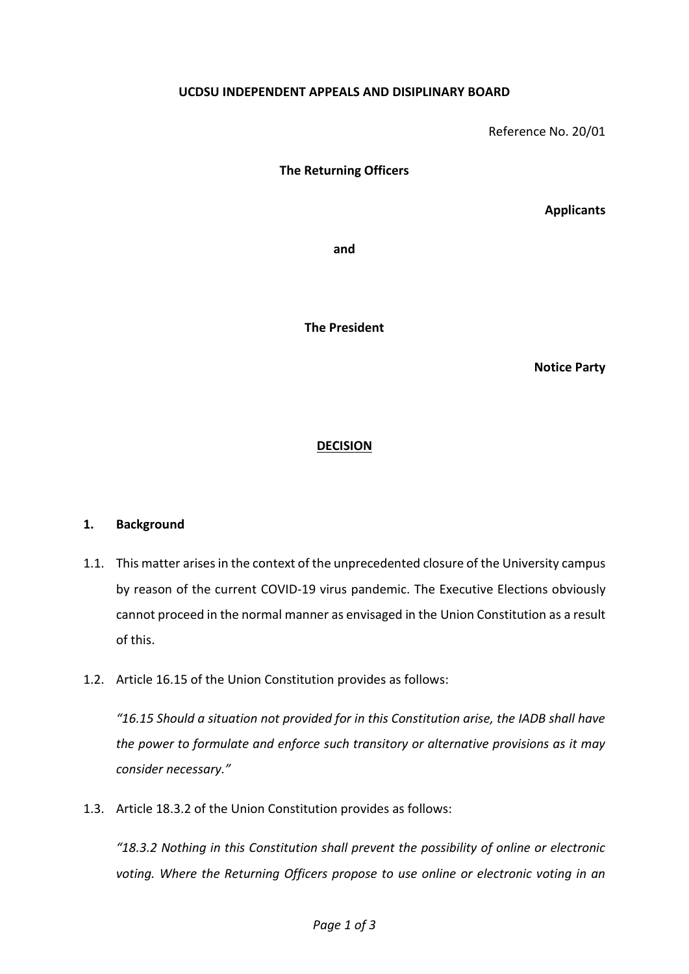## **UCDSU INDEPENDENT APPEALS AND DISIPLINARY BOARD**

Reference No. 20/01

**The Returning Officers**

**Applicants**

**and**

**The President**

**Notice Party**

## **DECISION**

## **1. Background**

- 1.1. This matter arises in the context of the unprecedented closure of the University campus by reason of the current COVID-19 virus pandemic. The Executive Elections obviously cannot proceed in the normal manner as envisaged in the Union Constitution as a result of this.
- 1.2. Article 16.15 of the Union Constitution provides as follows:

*"16.15 Should a situation not provided for in this Constitution arise, the IADB shall have the power to formulate and enforce such transitory or alternative provisions as it may consider necessary."*

1.3. Article 18.3.2 of the Union Constitution provides as follows:

*"18.3.2 Nothing in this Constitution shall prevent the possibility of online or electronic voting. Where the Returning Officers propose to use online or electronic voting in an*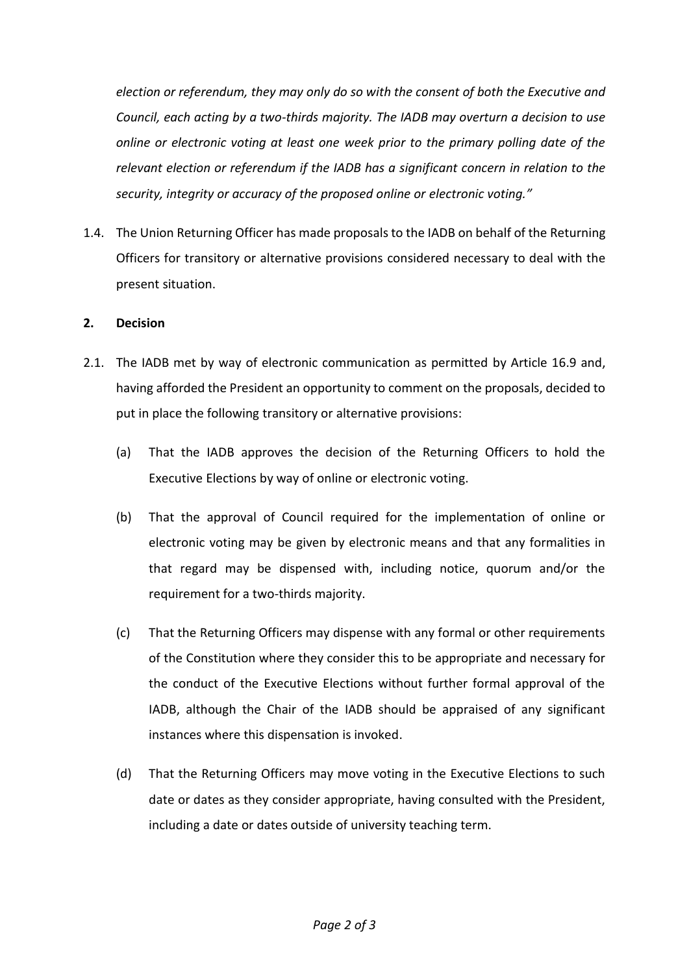*election or referendum, they may only do so with the consent of both the Executive and Council, each acting by a two-thirds majority. The IADB may overturn a decision to use online or electronic voting at least one week prior to the primary polling date of the relevant election or referendum if the IADB has a significant concern in relation to the security, integrity or accuracy of the proposed online or electronic voting."*

1.4. The Union Returning Officer has made proposals to the IADB on behalf of the Returning Officers for transitory or alternative provisions considered necessary to deal with the present situation.

## **2. Decision**

- 2.1. The IADB met by way of electronic communication as permitted by Article 16.9 and, having afforded the President an opportunity to comment on the proposals, decided to put in place the following transitory or alternative provisions:
	- (a) That the IADB approves the decision of the Returning Officers to hold the Executive Elections by way of online or electronic voting.
	- (b) That the approval of Council required for the implementation of online or electronic voting may be given by electronic means and that any formalities in that regard may be dispensed with, including notice, quorum and/or the requirement for a two-thirds majority.
	- (c) That the Returning Officers may dispense with any formal or other requirements of the Constitution where they consider this to be appropriate and necessary for the conduct of the Executive Elections without further formal approval of the IADB, although the Chair of the IADB should be appraised of any significant instances where this dispensation is invoked.
	- (d) That the Returning Officers may move voting in the Executive Elections to such date or dates as they consider appropriate, having consulted with the President, including a date or dates outside of university teaching term.